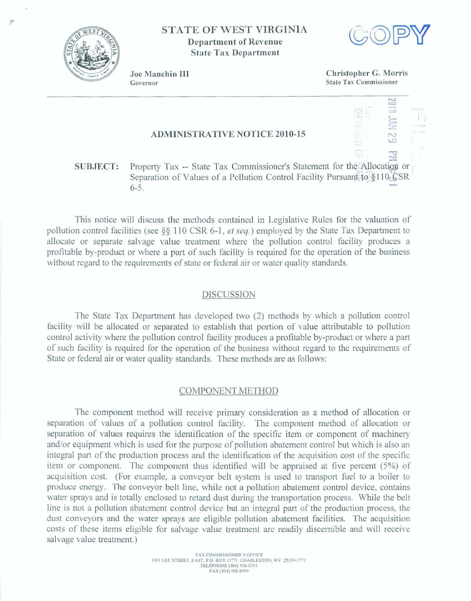

**STATE OF WEST VIRGINIA Department of Revenue State Tax Department** 



Joe Manchin III Governor

Christopher G. Morris **State Tax Commissioner** 

# **ADMINISTRATIVE NOTICE 2010-15**

#### Property Tax -- State Tax Commissioner's Statement for the Allocation or **SUBJECT:** Separation of Values of a Pollution Control Facility Pursuant to §110. CSR  $6 - 5.$

This notice will discuss the methods contained in Legislative Rules for the valuation of pollution control facilities (see §§ 110 CSR 6-1, et seq.) employed by the State Tax Department to allocate or separate salvage value treatment where the pollution control facility produces a profitable by-product or where a part of such facility is required for the operation of the business without regard to the requirements of state or federal air or water quality standards.

### DISCUSSION

The State Tax Department has developed two (2) methods by which a pollution control facility will be allocated or separated to establish that portion of value attributable to pollution control activity where the pollution control facility produces a profitable by-product or where a part of such facility is required for the operation of the business without regard to the requirements of State or federal air or water quality standards. These methods are as follows:

## COMPONENT METHOD

The component method will receive primary consideration as a method of allocation or separation of values of a pollution control facility. The component method of allocation or separation of values requires the identification of the specific item or component of machinery and/or equipment which is used for the purpose of pollution abatement control but which is also an integral part of the production process and the identification of the acquisition cost of the specific item or component. The component thus identified will be appraised at five percent (5%) of acquisition cost. (For example, a conveyor belt system is used to transport fuel to a boiler to produce energy. The conveyor belt line, while not a pollution abatement control device, contains water sprays and is totally enclosed to retard dust during the transportation process. While the belt line is not a pollution abatement control device but an integral part of the production process, the dust conveyors and the water sprays are eligible pollution abatement facilities. The acquisition costs of these items eligible for salvage value treatment are readily discernible and will receive salvage value treatment.)